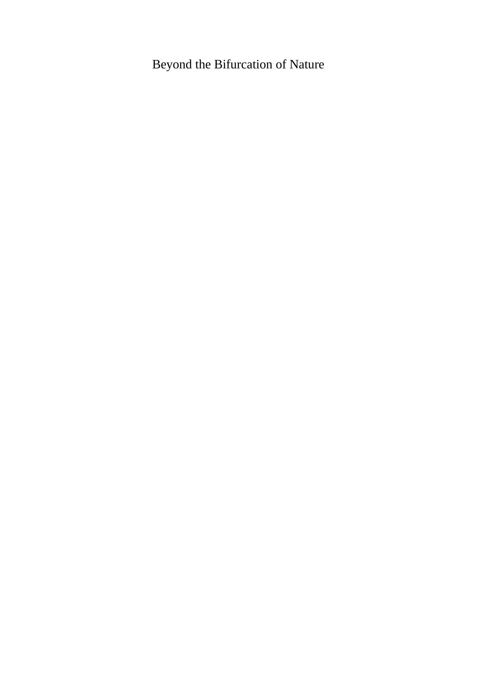# Beyond the Bifurcation of Nature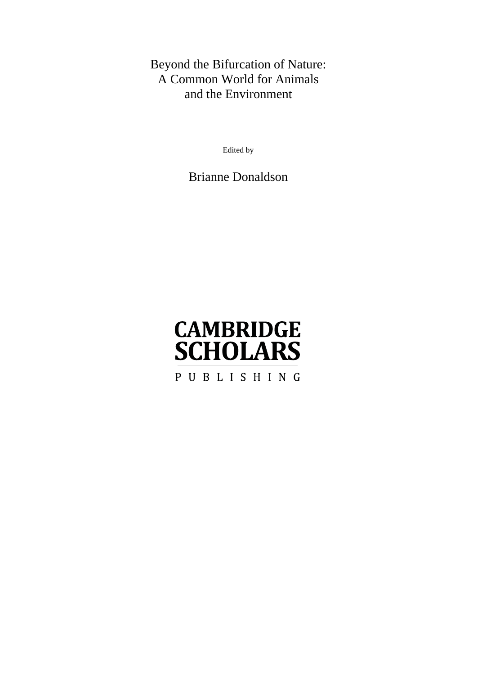# Beyond the Bifurcation of Nature: A Common World for Animals and the Environment

Edited by

Brianne Donaldson

# **CAMBRIDGE SCHOLARS**

PUBLISHING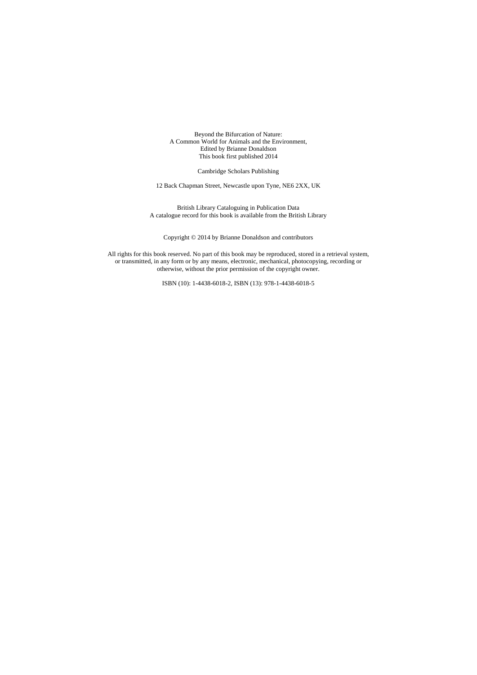Beyond the Bifurcation of Nature: A Common World for Animals and the Environment, Edited by Brianne Donaldson This book first published 2014

Cambridge Scholars Publishing

12 Back Chapman Street, Newcastle upon Tyne, NE6 2XX, UK

British Library Cataloguing in Publication Data A catalogue record for this book is available from the British Library

Copyright © 2014 by Brianne Donaldson and contributors

All rights for this book reserved. No part of this book may be reproduced, stored in a retrieval system, or transmitted, in any form or by any means, electronic, mechanical, photocopying, recording or otherwise, without the prior permission of the copyright owner.

ISBN (10): 1-4438-6018-2, ISBN (13): 978-1-4438-6018-5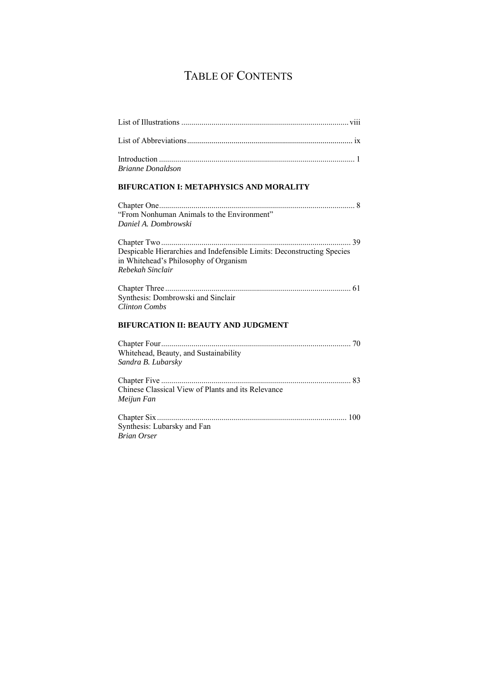# TABLE OF CONTENTS

| <b>Brianne Donaldson</b>                                                                                                            |
|-------------------------------------------------------------------------------------------------------------------------------------|
| <b>BIFURCATION I: METAPHYSICS AND MORALITY</b>                                                                                      |
| "From Nonhuman Animals to the Environment"<br>Daniel A. Dombrowski                                                                  |
| Despicable Hierarchies and Indefensible Limits: Deconstructing Species<br>in Whitehead's Philosophy of Organism<br>Rebekah Sinclair |
| Synthesis: Dombrowski and Sinclair<br><b>Clinton Combs</b>                                                                          |
| <b>BIFURCATION II: BEAUTY AND JUDGMENT</b>                                                                                          |
| Whitehead, Beauty, and Sustainability<br>Sandra B. Lubarsky                                                                         |
| Chinese Classical View of Plants and its Relevance<br>Meijun Fan                                                                    |
| Synthesis: Lubarsky and Fan<br><b>Brian Orser</b>                                                                                   |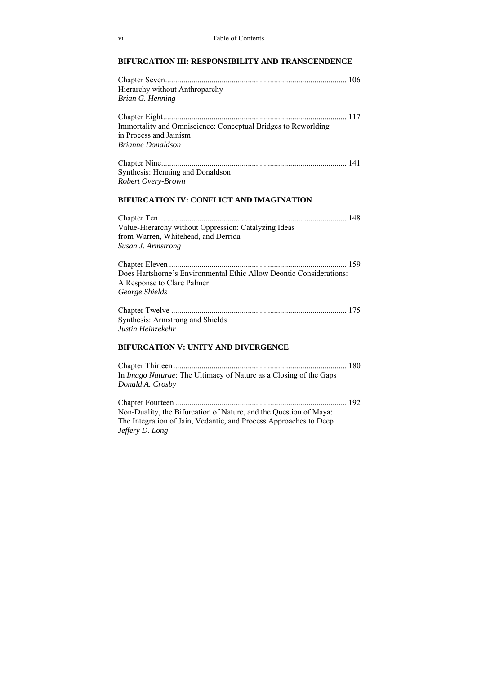### **BIFURCATION III: RESPONSIBILITY AND TRANSCENDENCE**

| Hierarchy without Anthroparchy<br><b>Brian G. Henning</b>                                                                                                 |  |
|-----------------------------------------------------------------------------------------------------------------------------------------------------------|--|
| Immortality and Omniscience: Conceptual Bridges to Reworlding<br>in Process and Jainism<br><b>Brianne Donaldson</b>                                       |  |
| Synthesis: Henning and Donaldson<br>Robert Overy-Brown                                                                                                    |  |
| <b>BIFURCATION IV: CONFLICT AND IMAGINATION</b>                                                                                                           |  |
| Value-Hierarchy without Oppression: Catalyzing Ideas<br>from Warren, Whitehead, and Derrida<br>Susan J. Armstrong                                         |  |
| Does Hartshorne's Environmental Ethic Allow Deontic Considerations:<br>A Response to Clare Palmer<br>George Shields                                       |  |
| Synthesis: Armstrong and Shields<br>Justin Heinzekehr                                                                                                     |  |
| <b>BIFURCATION V: UNITY AND DIVERGENCE</b>                                                                                                                |  |
| In Imago Naturae: The Ultimacy of Nature as a Closing of the Gaps<br>Donald A. Crosby                                                                     |  |
| Non-Duality, the Bifurcation of Nature, and the Question of Māyā:<br>The Integration of Jain, Vedantic, and Process Approaches to Deep<br>Jeffery D. Long |  |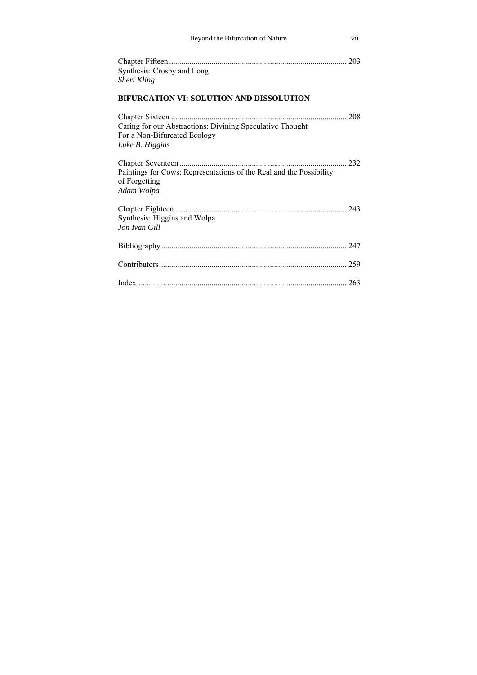| Beyond the Bifurcation of Nature                                                                             | vii |
|--------------------------------------------------------------------------------------------------------------|-----|
| Synthesis: Crosby and Long<br>Sheri Kling                                                                    |     |
| BIFURCATION VI: SOLUTION AND DISSOLUTION                                                                     |     |
| Caring for our Abstractions: Divining Speculative Thought<br>For a Non-Bifurcated Ecology<br>Luke B. Higgins |     |
| Paintings for Cows: Representations of the Real and the Possibility<br>of Forgetting<br>Adam Wolpa           |     |
| Synthesis: Higgins and Wolpa<br>Jon Ivan Gill                                                                |     |
|                                                                                                              |     |
|                                                                                                              |     |
|                                                                                                              |     |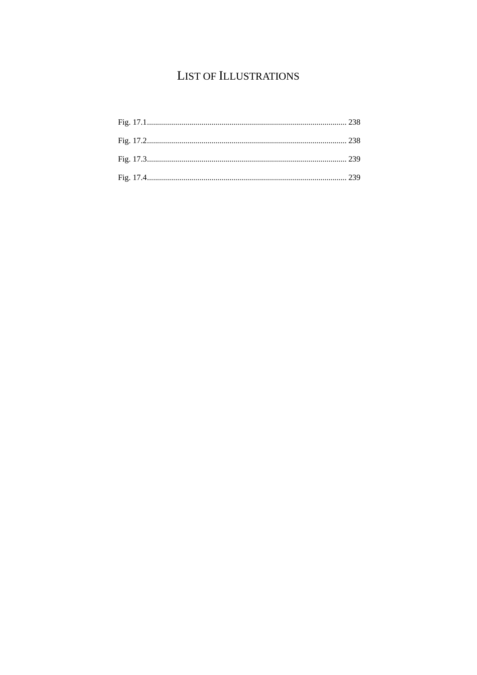# LIST OF ILLUSTRATIONS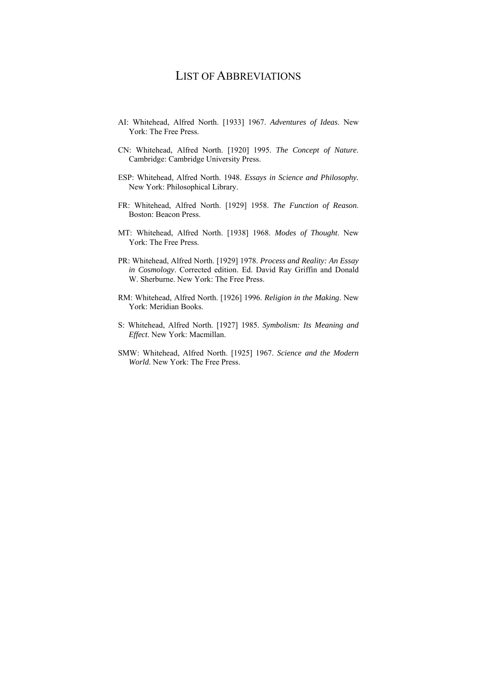### LIST OF ABBREVIATIONS

- AI: Whitehead, Alfred North. [1933] 1967. *Adventures of Ideas*. New York: The Free Press.
- CN: Whitehead, Alfred North. [1920] 1995. *The Concept of Nature*. Cambridge: Cambridge University Press.
- ESP: Whitehead, Alfred North. 1948. *Essays in Science and Philosophy.*  New York: Philosophical Library.
- FR: Whitehead, Alfred North. [1929] 1958. *The Function of Reason*. Boston: Beacon Press.
- MT: Whitehead, Alfred North. [1938] 1968. *Modes of Thought*. New York: The Free Press.
- PR: Whitehead, Alfred North. [1929] 1978. *Process and Reality: An Essay in Cosmology*. Corrected edition. Ed. David Ray Griffin and Donald W. Sherburne. New York: The Free Press.
- RM: Whitehead, Alfred North. [1926] 1996. *Religion in the Making*. New York: Meridian Books.
- S: Whitehead, Alfred North. [1927] 1985. *Symbolism: Its Meaning and Effect*. New York: Macmillan.
- SMW: Whitehead, Alfred North. [1925] 1967. *Science and the Modern World*. New York: The Free Press.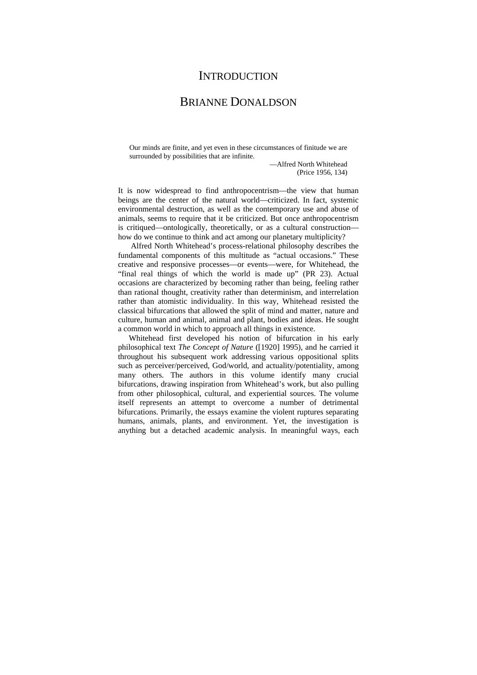### **INTRODUCTION**

### BRIANNE DONALDSON

Our minds are finite, and yet even in these circumstances of finitude we are surrounded by possibilities that are infinite.

> —Alfred North Whitehead (Price 1956, 134)

It is now widespread to find anthropocentrism—the view that human beings are the center of the natural world—criticized. In fact, systemic environmental destruction, as well as the contemporary use and abuse of animals, seems to require that it be criticized. But once anthropocentrism is critiqued—ontologically, theoretically, or as a cultural construction how do we continue to think and act among our planetary multiplicity?

 Alfred North Whitehead's process-relational philosophy describes the fundamental components of this multitude as "actual occasions." These creative and responsive processes—or events—were, for Whitehead, the "final real things of which the world is made up" (PR 23). Actual occasions are characterized by becoming rather than being, feeling rather than rational thought, creativity rather than determinism, and interrelation rather than atomistic individuality. In this way, Whitehead resisted the classical bifurcations that allowed the split of mind and matter, nature and culture, human and animal, animal and plant, bodies and ideas. He sought a common world in which to approach all things in existence.

Whitehead first developed his notion of bifurcation in his early philosophical text *The Concept of Nature* ([1920] 1995), and he carried it throughout his subsequent work addressing various oppositional splits such as perceiver/perceived, God/world, and actuality/potentiality, among many others. The authors in this volume identify many crucial bifurcations, drawing inspiration from Whitehead's work, but also pulling from other philosophical, cultural, and experiential sources. The volume itself represents an attempt to overcome a number of detrimental bifurcations. Primarily, the essays examine the violent ruptures separating humans, animals, plants, and environment. Yet, the investigation is anything but a detached academic analysis. In meaningful ways, each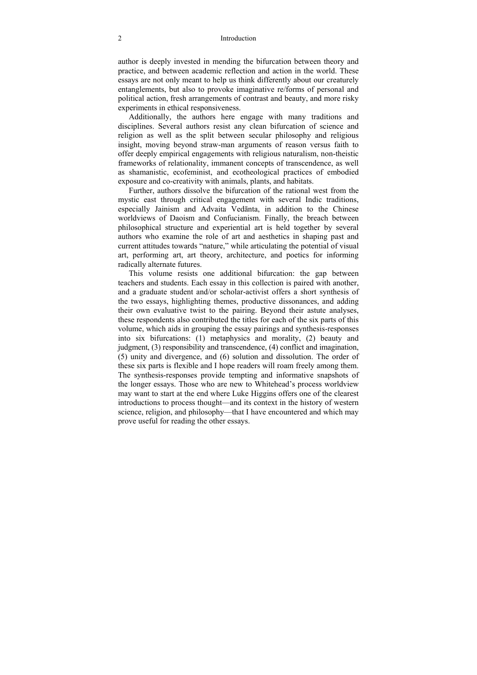#### 2 Introduction

author is deeply invested in mending the bifurcation between theory and practice, and between academic reflection and action in the world. These essays are not only meant to help us think differently about our creaturely entanglements, but also to provoke imaginative re/forms of personal and political action, fresh arrangements of contrast and beauty, and more risky experiments in ethical responsiveness.

Additionally, the authors here engage with many traditions and disciplines. Several authors resist any clean bifurcation of science and religion as well as the split between secular philosophy and religious insight, moving beyond straw-man arguments of reason versus faith to offer deeply empirical engagements with religious naturalism, non-theistic frameworks of relationality, immanent concepts of transcendence, as well as shamanistic, ecofeminist, and ecotheological practices of embodied exposure and co-creativity with animals, plants, and habitats.

Further, authors dissolve the bifurcation of the rational west from the mystic east through critical engagement with several Indic traditions, especially Jainism and Advaita Vedānta, in addition to the Chinese worldviews of Daoism and Confucianism. Finally, the breach between philosophical structure and experiential art is held together by several authors who examine the role of art and aesthetics in shaping past and current attitudes towards "nature," while articulating the potential of visual art, performing art, art theory, architecture, and poetics for informing radically alternate futures.

This volume resists one additional bifurcation: the gap between teachers and students. Each essay in this collection is paired with another, and a graduate student and/or scholar-activist offers a short synthesis of the two essays, highlighting themes, productive dissonances, and adding their own evaluative twist to the pairing. Beyond their astute analyses, these respondents also contributed the titles for each of the six parts of this volume, which aids in grouping the essay pairings and synthesis-responses into six bifurcations: (1) metaphysics and morality, (2) beauty and judgment, (3) responsibility and transcendence, (4) conflict and imagination, (5) unity and divergence, and (6) solution and dissolution. The order of these six parts is flexible and I hope readers will roam freely among them. The synthesis-responses provide tempting and informative snapshots of the longer essays. Those who are new to Whitehead's process worldview may want to start at the end where Luke Higgins offers one of the clearest introductions to process thought—and its context in the history of western science, religion, and philosophy—that I have encountered and which may prove useful for reading the other essays.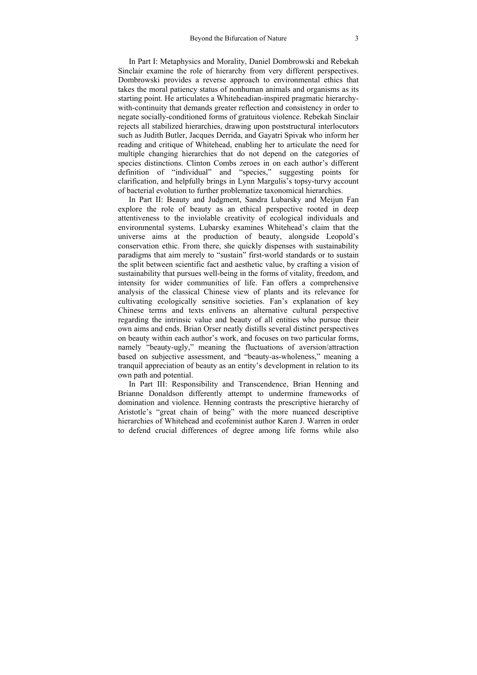In Part I: Metaphysics and Morality, Daniel Dombrowski and Rebekah Sinclair examine the role of hierarchy from very different perspectives. Dombrowski provides a reverse approach to environmental ethics that takes the moral patiency status of nonhuman animals and organisms as its starting point. He articulates a Whiteheadian-inspired pragmatic hierarchywith-continuity that demands greater reflection and consistency in order to negate socially-conditioned forms of gratuitous violence. Rebekah Sinclair rejects all stabilized hierarchies, drawing upon poststructural interlocutors such as Judith Butler, Jacques Derrida, and Gayatri Spivak who inform her reading and critique of Whitehead, enabling her to articulate the need for multiple changing hierarchies that do not depend on the categories of species distinctions. Clinton Combs zeroes in on each author's different definition of "individual" and "species," suggesting points for clarification, and helpfully brings in Lynn Margulis's topsy-turvy account of bacterial evolution to further problematize taxonomical hierarchies.

In Part II: Beauty and Judgment, Sandra Lubarsky and Meijun Fan explore the role of beauty as an ethical perspective rooted in deep attentiveness to the inviolable creativity of ecological individuals and environmental systems. Lubarsky examines Whitehead's claim that the universe aims at the production of beauty, alongside Leopold's conservation ethic. From there, she quickly dispenses with sustainability paradigms that aim merely to "sustain" first-world standards or to sustain the split between scientific fact and aesthetic value, by crafting a vision of sustainability that pursues well-being in the forms of vitality, freedom, and intensity for wider communities of life. Fan offers a comprehensive analysis of the classical Chinese view of plants and its relevance for cultivating ecologically sensitive societies. Fan's explanation of key Chinese terms and texts enlivens an alternative cultural perspective regarding the intrinsic value and beauty of all entities who pursue their own aims and ends. Brian Orser neatly distills several distinct perspectives on beauty within each author's work, and focuses on two particular forms, namely "beauty-ugly," meaning the fluctuations of aversion/attraction based on subjective assessment, and "beauty-as-wholeness," meaning a tranquil appreciation of beauty as an entity's development in relation to its own path and potential.

In Part III: Responsibility and Transcendence, Brian Henning and Brianne Donaldson differently attempt to undermine frameworks of domination and violence. Henning contrasts the prescriptive hierarchy of Aristotle's "great chain of being" with the more nuanced descriptive hierarchies of Whitehead and ecofeminist author Karen J. Warren in order to defend crucial differences of degree among life forms while also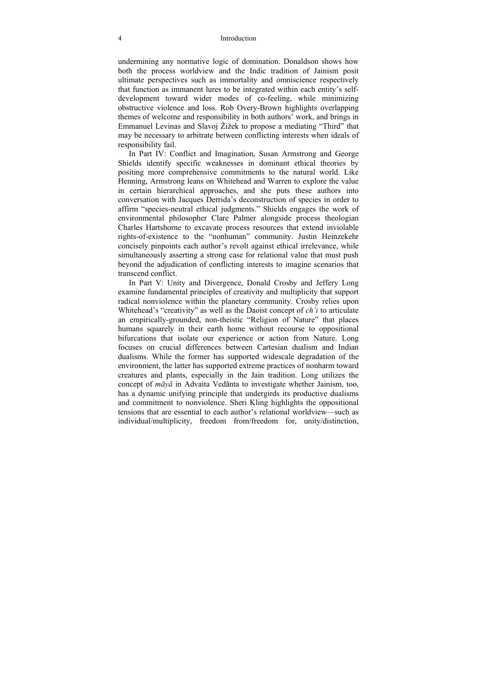#### 4 Introduction

undermining any normative logic of domination. Donaldson shows how both the process worldview and the Indic tradition of Jainism posit ultimate perspectives such as immortality and omniscience respectively that function as immanent lures to be integrated within each entity's selfdevelopment toward wider modes of co-feeling, while minimizing obstructive violence and loss. Rob Overy-Brown highlights overlapping themes of welcome and responsibility in both authors' work, and brings in Emmanuel Levinas and Slavoj Žižek to propose a mediating "Third" that may be necessary to arbitrate between conflicting interests when ideals of responsibility fail.

In Part IV: Conflict and Imagination, Susan Armstrong and George Shields identify specific weaknesses in dominant ethical theories by positing more comprehensive commitments to the natural world. Like Henning, Armstrong leans on Whitehead and Warren to explore the value in certain hierarchical approaches, and she puts these authors into conversation with Jacques Derrida's deconstruction of species in order to affirm "species-neutral ethical judgments." Shields engages the work of environmental philosopher Clare Palmer alongside process theologian Charles Hartshorne to excavate process resources that extend inviolable rights-of-existence to the "nonhuman" community. Justin Heinzekehr concisely pinpoints each author's revolt against ethical irrelevance, while simultaneously asserting a strong case for relational value that must push beyond the adjudication of conflicting interests to imagine scenarios that transcend conflict.

In Part V: Unity and Divergence, Donald Crosby and Jeffery Long examine fundamental principles of creativity and multiplicity that support radical nonviolence within the planetary community. Crosby relies upon Whitehead's "creativity" as well as the Daoist concept of *ch'i* to articulate an empirically-grounded, non-theistic "Religion of Nature" that places humans squarely in their earth home without recourse to oppositional bifurcations that isolate our experience or action from Nature. Long focuses on crucial differences between Cartesian dualism and Indian dualisms. While the former has supported widescale degradation of the environment, the latter has supported extreme practices of nonharm toward creatures and plants, especially in the Jain tradition. Long utilizes the concept of *māyā* in Advaita Vedānta to investigate whether Jainism, too, has a dynamic unifying principle that undergirds its productive dualisms and commitment to nonviolence. Sheri Kling highlights the oppositional tensions that are essential to each author's relational worldview—such as individual/multiplicity, freedom from/freedom for, unity/distinction,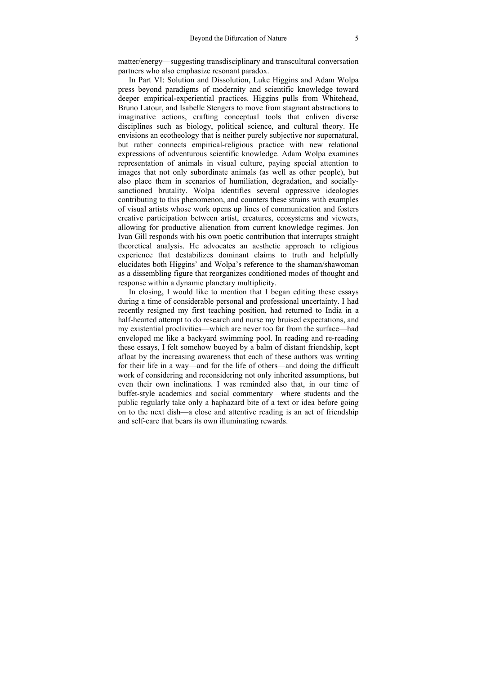matter/energy—suggesting transdisciplinary and transcultural conversation partners who also emphasize resonant paradox.

In Part VI: Solution and Dissolution, Luke Higgins and Adam Wolpa press beyond paradigms of modernity and scientific knowledge toward deeper empirical-experiential practices. Higgins pulls from Whitehead, Bruno Latour, and Isabelle Stengers to move from stagnant abstractions to imaginative actions, crafting conceptual tools that enliven diverse disciplines such as biology, political science, and cultural theory. He envisions an ecotheology that is neither purely subjective nor supernatural, but rather connects empirical-religious practice with new relational expressions of adventurous scientific knowledge. Adam Wolpa examines representation of animals in visual culture, paying special attention to images that not only subordinate animals (as well as other people), but also place them in scenarios of humiliation, degradation, and sociallysanctioned brutality. Wolpa identifies several oppressive ideologies contributing to this phenomenon, and counters these strains with examples of visual artists whose work opens up lines of communication and fosters creative participation between artist, creatures, ecosystems and viewers, allowing for productive alienation from current knowledge regimes. Jon Ivan Gill responds with his own poetic contribution that interrupts straight theoretical analysis. He advocates an aesthetic approach to religious experience that destabilizes dominant claims to truth and helpfully elucidates both Higgins' and Wolpa's reference to the shaman/shawoman as a dissembling figure that reorganizes conditioned modes of thought and response within a dynamic planetary multiplicity.

In closing, I would like to mention that I began editing these essays during a time of considerable personal and professional uncertainty. I had recently resigned my first teaching position, had returned to India in a half-hearted attempt to do research and nurse my bruised expectations, and my existential proclivities—which are never too far from the surface—had enveloped me like a backyard swimming pool. In reading and re-reading these essays, I felt somehow buoyed by a balm of distant friendship, kept afloat by the increasing awareness that each of these authors was writing for their life in a way—and for the life of others—and doing the difficult work of considering and reconsidering not only inherited assumptions, but even their own inclinations. I was reminded also that, in our time of buffet-style academics and social commentary—where students and the public regularly take only a haphazard bite of a text or idea before going on to the next dish—a close and attentive reading is an act of friendship and self-care that bears its own illuminating rewards.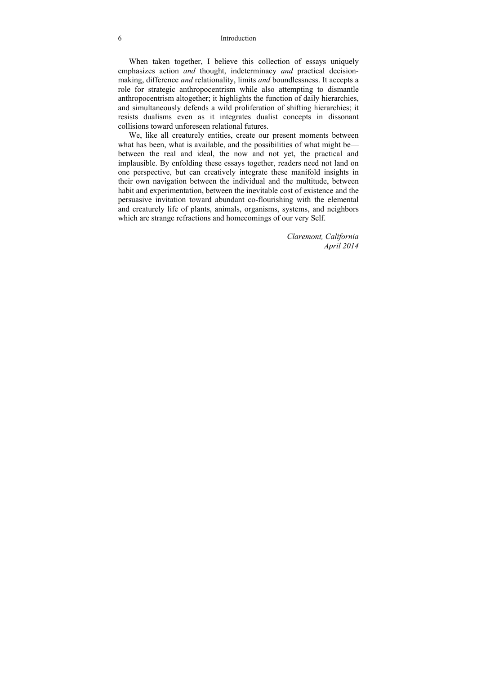#### 6 Introduction

When taken together, I believe this collection of essays uniquely emphasizes action *and* thought, indeterminacy *and* practical decisionmaking, difference *and* relationality, limits *and* boundlessness. It accepts a role for strategic anthropocentrism while also attempting to dismantle anthropocentrism altogether; it highlights the function of daily hierarchies, and simultaneously defends a wild proliferation of shifting hierarchies; it resists dualisms even as it integrates dualist concepts in dissonant collisions toward unforeseen relational futures.

We, like all creaturely entities, create our present moments between what has been, what is available, and the possibilities of what might be between the real and ideal, the now and not yet, the practical and implausible. By enfolding these essays together, readers need not land on one perspective, but can creatively integrate these manifold insights in their own navigation between the individual and the multitude, between habit and experimentation, between the inevitable cost of existence and the persuasive invitation toward abundant co-flourishing with the elemental and creaturely life of plants, animals, organisms, systems, and neighbors which are strange refractions and homecomings of our very Self.

> *Claremont, California April 2014*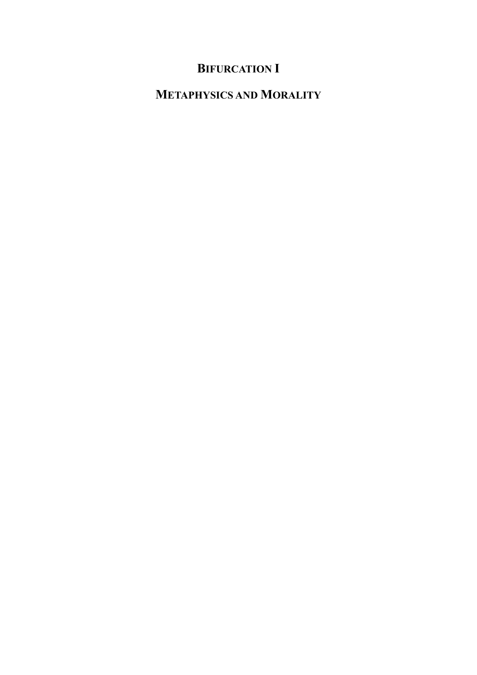# **BIFURCATION I**

# **METAPHYSICS AND MORALITY**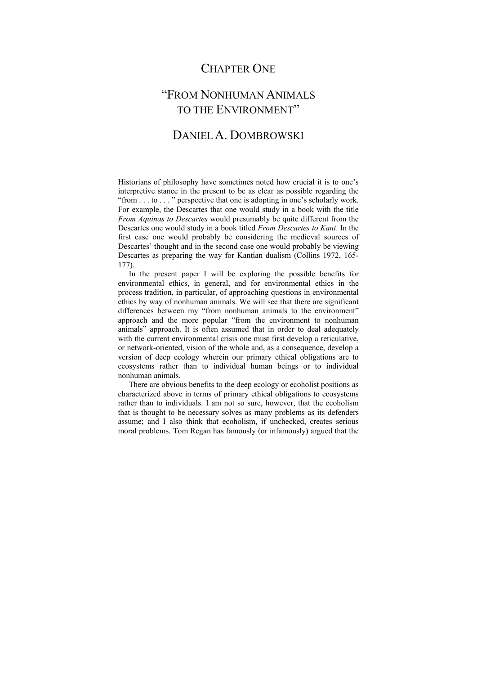### CHAPTER ONE

### "FROM NONHUMAN ANIMALS TO THE ENVIRONMENT"

### DANIEL A. DOMBROWSKI

Historians of philosophy have sometimes noted how crucial it is to one's interpretive stance in the present to be as clear as possible regarding the "from . . . to . . . " perspective that one is adopting in one's scholarly work. For example, the Descartes that one would study in a book with the title *From Aquinas to Descartes* would presumably be quite different from the Descartes one would study in a book titled *From Descartes to Kant*. In the first case one would probably be considering the medieval sources of Descartes' thought and in the second case one would probably be viewing Descartes as preparing the way for Kantian dualism (Collins 1972, 165- 177).

In the present paper I will be exploring the possible benefits for environmental ethics, in general, and for environmental ethics in the process tradition, in particular, of approaching questions in environmental ethics by way of nonhuman animals. We will see that there are significant differences between my "from nonhuman animals to the environment" approach and the more popular "from the environment to nonhuman animals" approach. It is often assumed that in order to deal adequately with the current environmental crisis one must first develop a reticulative, or network-oriented, vision of the whole and, as a consequence, develop a version of deep ecology wherein our primary ethical obligations are to ecosystems rather than to individual human beings or to individual nonhuman animals.

There are obvious benefits to the deep ecology or ecoholist positions as characterized above in terms of primary ethical obligations to ecosystems rather than to individuals. I am not so sure, however, that the ecoholism that is thought to be necessary solves as many problems as its defenders assume; and I also think that ecoholism, if unchecked, creates serious moral problems. Tom Regan has famously (or infamously) argued that the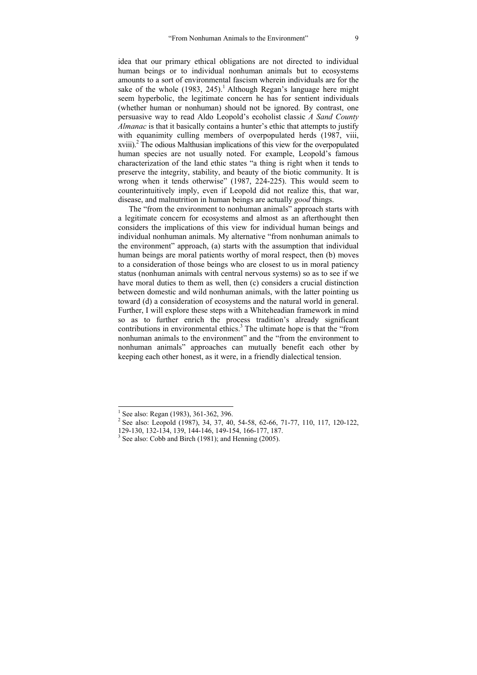idea that our primary ethical obligations are not directed to individual human beings or to individual nonhuman animals but to ecosystems amounts to a sort of environmental fascism wherein individuals are for the sake of the whole  $(1983, 245)$ .<sup>1</sup> Although Regan's language here might seem hyperbolic, the legitimate concern he has for sentient individuals (whether human or nonhuman) should not be ignored. By contrast, one persuasive way to read Aldo Leopold's ecoholist classic *A Sand County Almanac* is that it basically contains a hunter's ethic that attempts to justify with equanimity culling members of overpopulated herds (1987, viii,  $xviii$ ).<sup>2</sup> The odious Malthusian implications of this view for the overpopulated human species are not usually noted. For example, Leopold's famous characterization of the land ethic states "a thing is right when it tends to preserve the integrity, stability, and beauty of the biotic community. It is wrong when it tends otherwise" (1987, 224-225). This would seem to counterintuitively imply, even if Leopold did not realize this, that war, disease, and malnutrition in human beings are actually *good* things.

The "from the environment to nonhuman animals" approach starts with a legitimate concern for ecosystems and almost as an afterthought then considers the implications of this view for individual human beings and individual nonhuman animals. My alternative "from nonhuman animals to the environment" approach, (a) starts with the assumption that individual human beings are moral patients worthy of moral respect, then (b) moves to a consideration of those beings who are closest to us in moral patiency status (nonhuman animals with central nervous systems) so as to see if we have moral duties to them as well, then (c) considers a crucial distinction between domestic and wild nonhuman animals, with the latter pointing us toward (d) a consideration of ecosystems and the natural world in general. Further, I will explore these steps with a Whiteheadian framework in mind so as to further enrich the process tradition's already significant contributions in environmental ethics.<sup>3</sup> The ultimate hope is that the "from nonhuman animals to the environment" and the "from the environment to nonhuman animals" approaches can mutually benefit each other by keeping each other honest, as it were, in a friendly dialectical tension.

<sup>&</sup>lt;sup>1</sup> See also: Regan (1983), 361-362, 396.

<sup>&</sup>lt;sup>2</sup> See also: Leopold (1987), 34, 37, 40, 54-58, 62-66, 71-77, 110, 117, 120-122,

<sup>129-130, 132-134, 139, 144-146, 149-154, 166-177, 187.</sup> 

<sup>&</sup>lt;sup>3</sup> See also: Cobb and Birch (1981); and Henning (2005).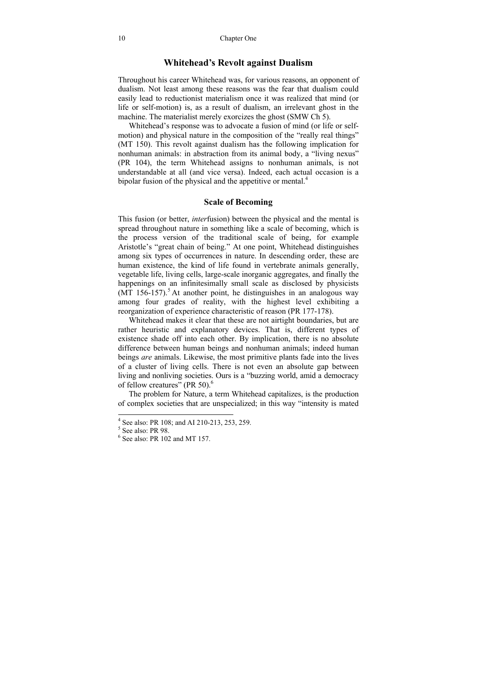### **Whitehead's Revolt against Dualism**

Throughout his career Whitehead was, for various reasons, an opponent of dualism. Not least among these reasons was the fear that dualism could easily lead to reductionist materialism once it was realized that mind (or life or self-motion) is, as a result of dualism, an irrelevant ghost in the machine. The materialist merely exorcizes the ghost (SMW Ch 5).

Whitehead's response was to advocate a fusion of mind (or life or selfmotion) and physical nature in the composition of the "really real things" (MT 150). This revolt against dualism has the following implication for nonhuman animals: in abstraction from its animal body, a "living nexus" (PR 104), the term Whitehead assigns to nonhuman animals, is not understandable at all (and vice versa). Indeed, each actual occasion is a bipolar fusion of the physical and the appetitive or mental.<sup>4</sup>

#### **Scale of Becoming**

This fusion (or better, *inter*fusion) between the physical and the mental is spread throughout nature in something like a scale of becoming, which is the process version of the traditional scale of being, for example Aristotle's "great chain of being." At one point, Whitehead distinguishes among six types of occurrences in nature. In descending order, these are human existence, the kind of life found in vertebrate animals generally, vegetable life, living cells, large-scale inorganic aggregates, and finally the happenings on an infinitesimally small scale as disclosed by physicists (MT 156-157).<sup>5</sup> At another point, he distinguishes in an analogous way among four grades of reality, with the highest level exhibiting a reorganization of experience characteristic of reason (PR 177-178).

Whitehead makes it clear that these are not airtight boundaries, but are rather heuristic and explanatory devices. That is, different types of existence shade off into each other. By implication, there is no absolute difference between human beings and nonhuman animals; indeed human beings *are* animals. Likewise, the most primitive plants fade into the lives of a cluster of living cells. There is not even an absolute gap between living and nonliving societies. Ours is a "buzzing world, amid a democracy of fellow creatures" (PR 50).<sup>6</sup>

The problem for Nature, a term Whitehead capitalizes, is the production of complex societies that are unspecialized; in this way "intensity is mated

<sup>4</sup> See also: PR 108; and AI 210-213, 253, 259.

<sup>5</sup> See also: PR 98.

 $<sup>6</sup>$  See also: PR 102 and MT 157.</sup>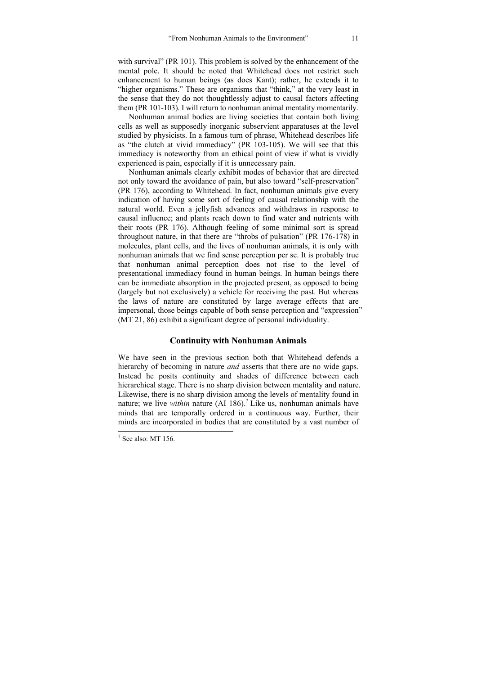with survival" (PR 101). This problem is solved by the enhancement of the mental pole. It should be noted that Whitehead does not restrict such enhancement to human beings (as does Kant); rather, he extends it to "higher organisms." These are organisms that "think," at the very least in the sense that they do not thoughtlessly adjust to causal factors affecting them (PR 101-103). I will return to nonhuman animal mentality momentarily.

Nonhuman animal bodies are living societies that contain both living cells as well as supposedly inorganic subservient apparatuses at the level studied by physicists. In a famous turn of phrase, Whitehead describes life as "the clutch at vivid immediacy" (PR 103-105). We will see that this immediacy is noteworthy from an ethical point of view if what is vividly experienced is pain, especially if it is unnecessary pain.

Nonhuman animals clearly exhibit modes of behavior that are directed not only toward the avoidance of pain, but also toward "self-preservation" (PR 176), according to Whitehead. In fact, nonhuman animals give every indication of having some sort of feeling of causal relationship with the natural world. Even a jellyfish advances and withdraws in response to causal influence; and plants reach down to find water and nutrients with their roots (PR 176). Although feeling of some minimal sort is spread throughout nature, in that there are "throbs of pulsation" (PR 176-178) in molecules, plant cells, and the lives of nonhuman animals, it is only with nonhuman animals that we find sense perception per se. It is probably true that nonhuman animal perception does not rise to the level of presentational immediacy found in human beings. In human beings there can be immediate absorption in the projected present, as opposed to being (largely but not exclusively) a vehicle for receiving the past. But whereas the laws of nature are constituted by large average effects that are impersonal, those beings capable of both sense perception and "expression" (MT 21, 86) exhibit a significant degree of personal individuality.

#### **Continuity with Nonhuman Animals**

We have seen in the previous section both that Whitehead defends a hierarchy of becoming in nature *and* asserts that there are no wide gaps. Instead he posits continuity and shades of difference between each hierarchical stage. There is no sharp division between mentality and nature. Likewise, there is no sharp division among the levels of mentality found in nature; we live *within* nature  $(AI 186)$ .<sup>7</sup> Like us, nonhuman animals have minds that are temporally ordered in a continuous way. Further, their minds are incorporated in bodies that are constituted by a vast number of

 $\frac{1}{7}$  See also: MT 156.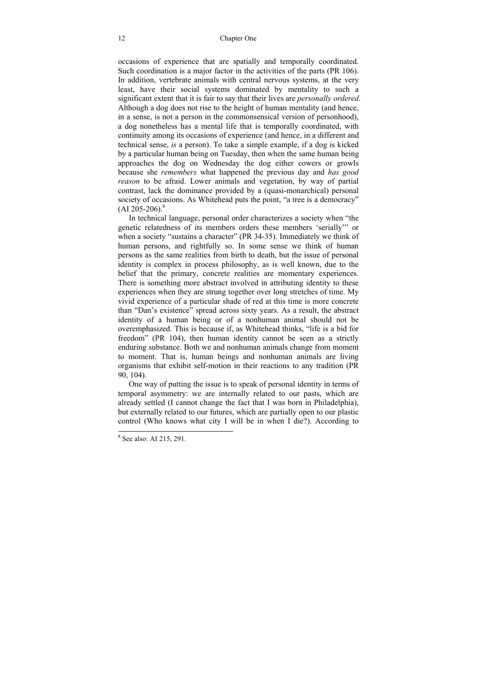occasions of experience that are spatially and temporally coordinated. Such coordination is a major factor in the activities of the parts (PR 106). In addition, vertebrate animals with central nervous systems, at the very least, have their social systems dominated by mentality to such a significant extent that it is fair to say that their lives are *personally ordered*. Although a dog does not rise to the height of human mentality (and hence, in a sense, is not a person in the commonsensical version of personhood), a dog nonetheless has a mental life that is temporally coordinated, with continuity among its occasions of experience (and hence, in a different and technical sense, *is* a person). To take a simple example, if a dog is kicked by a particular human being on Tuesday, then when the same human being approaches the dog on Wednesday the dog either cowers or growls because she *remembers* what happened the previous day and *has good reason* to be afraid. Lower animals and vegetation, by way of partial contrast, lack the dominance provided by a (quasi-monarchical) personal society of occasions. As Whitehead puts the point, "a tree is a democracy"  $(AI 205-206).$ <sup>8</sup>

In technical language, personal order characterizes a society when "the genetic relatedness of its members orders these members 'serially'" or when a society "sustains a character" (PR 34-35). Immediately we think of human persons, and rightfully so. In some sense we think of human persons as the same realities from birth to death, but the issue of personal identity is complex in process philosophy, as is well known, due to the belief that the primary, concrete realities are momentary experiences. There is something more abstract involved in attributing identity to these experiences when they are strung together over long stretches of time. My vivid experience of a particular shade of red at this time is more concrete than "Dan's existence" spread across sixty years. As a result, the abstract identity of a human being or of a nonhuman animal should not be overemphasized. This is because if, as Whitehead thinks, "life is a bid for freedom" (PR 104), then human identity cannot be seen as a strictly enduring substance. Both we and nonhuman animals change from moment to moment. That is, human beings and nonhuman animals are living organisms that exhibit self-motion in their reactions to any tradition (PR 90, 104).

One way of putting the issue is to speak of personal identity in terms of temporal asymmetry: we are internally related to our pasts, which are already settled (I cannot change the fact that I was born in Philadelphia), but externally related to our futures, which are partially open to our plastic control (Who knows what city I will be in when I die?). According to

<sup>&</sup>lt;sup>8</sup> See also: AI 215, 291.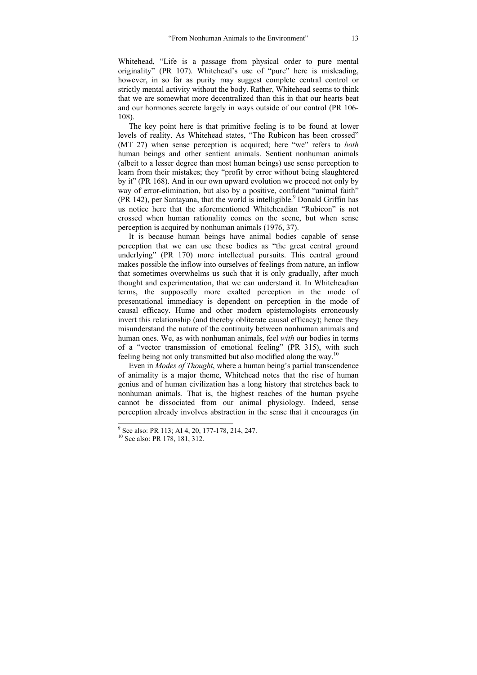Whitehead, "Life is a passage from physical order to pure mental originality" (PR 107). Whitehead's use of "pure" here is misleading, however, in so far as purity may suggest complete central control or strictly mental activity without the body. Rather, Whitehead seems to think that we are somewhat more decentralized than this in that our hearts beat and our hormones secrete largely in ways outside of our control (PR 106- 108).

The key point here is that primitive feeling is to be found at lower levels of reality. As Whitehead states, "The Rubicon has been crossed" (MT 27) when sense perception is acquired; here "we" refers to *both* human beings and other sentient animals. Sentient nonhuman animals (albeit to a lesser degree than most human beings) use sense perception to learn from their mistakes; they "profit by error without being slaughtered by it" (PR 168). And in our own upward evolution we proceed not only by way of error-elimination, but also by a positive, confident "animal faith"  $(PR 142)$ , per Santayana, that the world is intelligible.<sup>9</sup> Donald Griffin has us notice here that the aforementioned Whiteheadian "Rubicon" is not crossed when human rationality comes on the scene, but when sense perception is acquired by nonhuman animals (1976, 37).

It is because human beings have animal bodies capable of sense perception that we can use these bodies as "the great central ground underlying" (PR 170) more intellectual pursuits. This central ground makes possible the inflow into ourselves of feelings from nature, an inflow that sometimes overwhelms us such that it is only gradually, after much thought and experimentation, that we can understand it. In Whiteheadian terms, the supposedly more exalted perception in the mode of presentational immediacy is dependent on perception in the mode of causal efficacy. Hume and other modern epistemologists erroneously invert this relationship (and thereby obliterate causal efficacy); hence they misunderstand the nature of the continuity between nonhuman animals and human ones. We, as with nonhuman animals, feel *with* our bodies in terms of a "vector transmission of emotional feeling" (PR 315), with such feeling being not only transmitted but also modified along the way.10

Even in *Modes of Thought*, where a human being's partial transcendence of animality is a major theme, Whitehead notes that the rise of human genius and of human civilization has a long history that stretches back to nonhuman animals. That is, the highest reaches of the human psyche cannot be dissociated from our animal physiology. Indeed, sense perception already involves abstraction in the sense that it encourages (in

<sup>&</sup>lt;sup>9</sup> See also: PR 113; AI 4, 20, 177-178, 214, 247.

<sup>10</sup> See also: PR 178, 181, 312.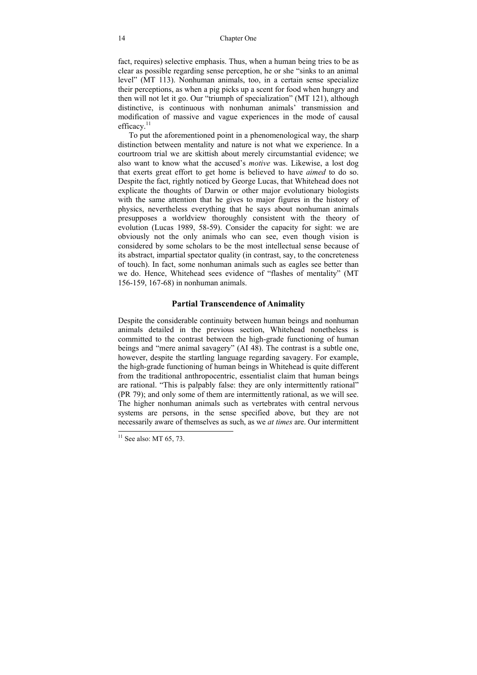fact, requires) selective emphasis. Thus, when a human being tries to be as clear as possible regarding sense perception, he or she "sinks to an animal level" (MT 113). Nonhuman animals, too, in a certain sense specialize their perceptions, as when a pig picks up a scent for food when hungry and then will not let it go. Our "triumph of specialization" (MT 121), although distinctive, is continuous with nonhuman animals' transmission and modification of massive and vague experiences in the mode of causal efficacy. $11$ 

To put the aforementioned point in a phenomenological way, the sharp distinction between mentality and nature is not what we experience. In a courtroom trial we are skittish about merely circumstantial evidence; we also want to know what the accused's *motive* was. Likewise, a lost dog that exerts great effort to get home is believed to have *aimed* to do so. Despite the fact, rightly noticed by George Lucas, that Whitehead does not explicate the thoughts of Darwin or other major evolutionary biologists with the same attention that he gives to major figures in the history of physics, nevertheless everything that he says about nonhuman animals presupposes a worldview thoroughly consistent with the theory of evolution (Lucas 1989, 58-59). Consider the capacity for sight: we are obviously not the only animals who can see, even though vision is considered by some scholars to be the most intellectual sense because of its abstract, impartial spectator quality (in contrast, say, to the concreteness of touch). In fact, some nonhuman animals such as eagles see better than we do. Hence, Whitehead sees evidence of "flashes of mentality" (MT 156-159, 167-68) in nonhuman animals.

### **Partial Transcendence of Animality**

Despite the considerable continuity between human beings and nonhuman animals detailed in the previous section, Whitehead nonetheless is committed to the contrast between the high-grade functioning of human beings and "mere animal savagery" (AI 48). The contrast is a subtle one, however, despite the startling language regarding savagery. For example, the high-grade functioning of human beings in Whitehead is quite different from the traditional anthropocentric, essentialist claim that human beings are rational. "This is palpably false: they are only intermittently rational" (PR 79); and only some of them are intermittently rational, as we will see. The higher nonhuman animals such as vertebrates with central nervous systems are persons, in the sense specified above, but they are not necessarily aware of themselves as such, as we *at times* are. Our intermittent

 $11$  See also: MT 65, 73.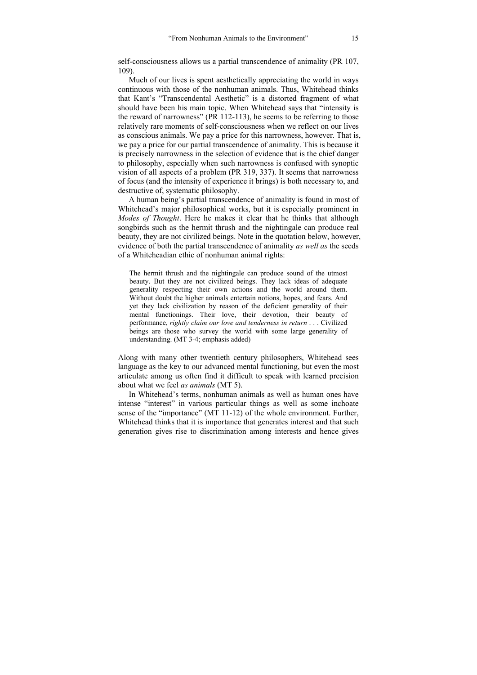self-consciousness allows us a partial transcendence of animality (PR 107, 109).

Much of our lives is spent aesthetically appreciating the world in ways continuous with those of the nonhuman animals. Thus, Whitehead thinks that Kant's "Transcendental Aesthetic" is a distorted fragment of what should have been his main topic. When Whitehead says that "intensity is the reward of narrowness" (PR 112-113), he seems to be referring to those relatively rare moments of self-consciousness when we reflect on our lives as conscious animals. We pay a price for this narrowness, however. That is, we pay a price for our partial transcendence of animality. This is because it is precisely narrowness in the selection of evidence that is the chief danger to philosophy, especially when such narrowness is confused with synoptic vision of all aspects of a problem (PR 319, 337). It seems that narrowness of focus (and the intensity of experience it brings) is both necessary to, and destructive of, systematic philosophy.

A human being's partial transcendence of animality is found in most of Whitehead's major philosophical works, but it is especially prominent in *Modes of Thought*. Here he makes it clear that he thinks that although songbirds such as the hermit thrush and the nightingale can produce real beauty, they are not civilized beings. Note in the quotation below, however, evidence of both the partial transcendence of animality *as well as* the seeds of a Whiteheadian ethic of nonhuman animal rights:

The hermit thrush and the nightingale can produce sound of the utmost beauty. But they are not civilized beings. They lack ideas of adequate generality respecting their own actions and the world around them. Without doubt the higher animals entertain notions, hopes, and fears. And yet they lack civilization by reason of the deficient generality of their mental functionings. Their love, their devotion, their beauty of performance, *rightly claim our love and tenderness in return* . . . Civilized beings are those who survey the world with some large generality of understanding. (MT 3-4; emphasis added)

Along with many other twentieth century philosophers, Whitehead sees language as the key to our advanced mental functioning, but even the most articulate among us often find it difficult to speak with learned precision about what we feel *as animals* (MT 5).

In Whitehead's terms, nonhuman animals as well as human ones have intense "interest" in various particular things as well as some inchoate sense of the "importance" (MT 11-12) of the whole environment. Further, Whitehead thinks that it is importance that generates interest and that such generation gives rise to discrimination among interests and hence gives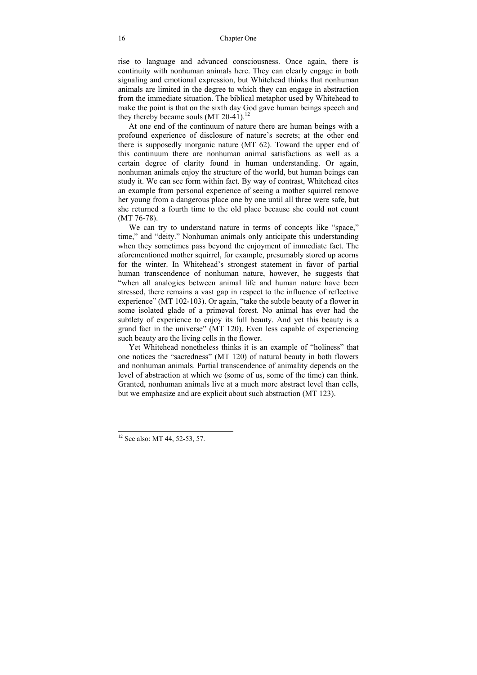rise to language and advanced consciousness. Once again, there is continuity with nonhuman animals here. They can clearly engage in both signaling and emotional expression, but Whitehead thinks that nonhuman animals are limited in the degree to which they can engage in abstraction from the immediate situation. The biblical metaphor used by Whitehead to make the point is that on the sixth day God gave human beings speech and they thereby became souls  $(MT 20-41)^{12}$ 

At one end of the continuum of nature there are human beings with a profound experience of disclosure of nature's secrets; at the other end there is supposedly inorganic nature (MT 62). Toward the upper end of this continuum there are nonhuman animal satisfactions as well as a certain degree of clarity found in human understanding. Or again, nonhuman animals enjoy the structure of the world, but human beings can study it. We can see form within fact. By way of contrast, Whitehead cites an example from personal experience of seeing a mother squirrel remove her young from a dangerous place one by one until all three were safe, but she returned a fourth time to the old place because she could not count (MT 76-78).

We can try to understand nature in terms of concepts like "space," time," and "deity." Nonhuman animals only anticipate this understanding when they sometimes pass beyond the enjoyment of immediate fact. The aforementioned mother squirrel, for example, presumably stored up acorns for the winter. In Whitehead's strongest statement in favor of partial human transcendence of nonhuman nature, however, he suggests that "when all analogies between animal life and human nature have been stressed, there remains a vast gap in respect to the influence of reflective experience" (MT 102-103). Or again, "take the subtle beauty of a flower in some isolated glade of a primeval forest. No animal has ever had the subtlety of experience to enjoy its full beauty. And yet this beauty is a grand fact in the universe" (MT 120). Even less capable of experiencing such beauty are the living cells in the flower.

Yet Whitehead nonetheless thinks it is an example of "holiness" that one notices the "sacredness" (MT 120) of natural beauty in both flowers and nonhuman animals. Partial transcendence of animality depends on the level of abstraction at which we (some of us, some of the time) can think. Granted, nonhuman animals live at a much more abstract level than cells, but we emphasize and are explicit about such abstraction (MT 123).

<sup>&</sup>lt;sup>12</sup> See also: MT 44, 52-53, 57.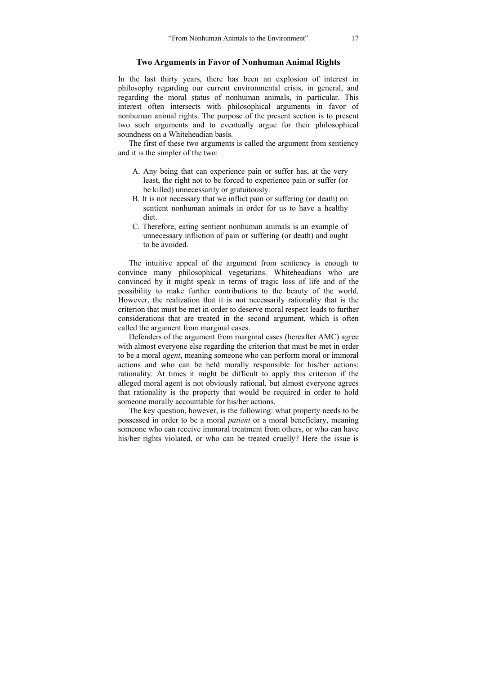#### **Two Arguments in Favor of Nonhuman Animal Rights**

In the last thirty years, there has been an explosion of interest in philosophy regarding our current environmental crisis, in general, and regarding the moral status of nonhuman animals, in particular. This interest often intersects with philosophical arguments in favor of nonhuman animal rights. The purpose of the present section is to present two such arguments and to eventually argue for their philosophical soundness on a Whiteheadian basis.

The first of these two arguments is called the argument from sentiency and it is the simpler of the two:

- A. Any being that can experience pain or suffer has, at the very least, the right not to be forced to experience pain or suffer (or be killed) unnecessarily or gratuitously.
- B. It is not necessary that we inflict pain or suffering (or death) on sentient nonhuman animals in order for us to have a healthy diet.
- C. Therefore, eating sentient nonhuman animals is an example of unnecessary infliction of pain or suffering (or death) and ought to be avoided.

The intuitive appeal of the argument from sentiency is enough to convince many philosophical vegetarians. Whiteheadians who are convinced by it might speak in terms of tragic loss of life and of the possibility to make further contributions to the beauty of the world. However, the realization that it is not necessarily rationality that is the criterion that must be met in order to deserve moral respect leads to further considerations that are treated in the second argument, which is often called the argument from marginal cases.

Defenders of the argument from marginal cases (hereafter AMC) agree with almost everyone else regarding the criterion that must be met in order to be a moral *agent*, meaning someone who can perform moral or immoral actions and who can be held morally responsible for his/her actions: rationality. At times it might be difficult to apply this criterion if the alleged moral agent is not obviously rational, but almost everyone agrees that rationality is the property that would be required in order to hold someone morally accountable for his/her actions.

The key question, however, is the following: what property needs to be possessed in order to be a moral *patient* or a moral beneficiary, meaning someone who can receive immoral treatment from others, or who can have his/her rights violated, or who can be treated cruelly? Here the issue is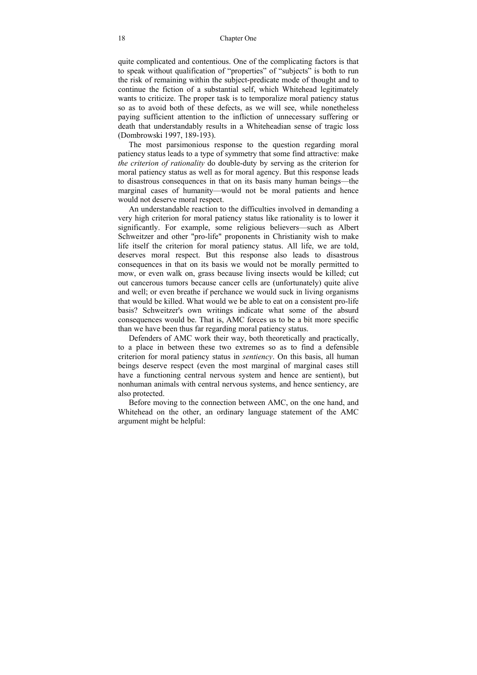quite complicated and contentious. One of the complicating factors is that to speak without qualification of "properties" of "subjects" is both to run the risk of remaining within the subject-predicate mode of thought and to continue the fiction of a substantial self, which Whitehead legitimately wants to criticize. The proper task is to temporalize moral patiency status so as to avoid both of these defects, as we will see, while nonetheless paying sufficient attention to the infliction of unnecessary suffering or death that understandably results in a Whiteheadian sense of tragic loss (Dombrowski 1997, 189-193).

The most parsimonious response to the question regarding moral patiency status leads to a type of symmetry that some find attractive: make *the criterion of rationality* do double-duty by serving as the criterion for moral patiency status as well as for moral agency. But this response leads to disastrous consequences in that on its basis many human beings—the marginal cases of humanity—would not be moral patients and hence would not deserve moral respect.

An understandable reaction to the difficulties involved in demanding a very high criterion for moral patiency status like rationality is to lower it significantly. For example, some religious believers—such as Albert Schweitzer and other "pro-life" proponents in Christianity wish to make life itself the criterion for moral patiency status. All life, we are told, deserves moral respect. But this response also leads to disastrous consequences in that on its basis we would not be morally permitted to mow, or even walk on, grass because living insects would be killed; cut out cancerous tumors because cancer cells are (unfortunately) quite alive and well; or even breathe if perchance we would suck in living organisms that would be killed. What would we be able to eat on a consistent pro-life basis? Schweitzer's own writings indicate what some of the absurd consequences would be. That is, AMC forces us to be a bit more specific than we have been thus far regarding moral patiency status.

Defenders of AMC work their way, both theoretically and practically, to a place in between these two extremes so as to find a defensible criterion for moral patiency status in *sentiency*. On this basis, all human beings deserve respect (even the most marginal of marginal cases still have a functioning central nervous system and hence are sentient), but nonhuman animals with central nervous systems, and hence sentiency, are also protected.

Before moving to the connection between AMC, on the one hand, and Whitehead on the other, an ordinary language statement of the AMC argument might be helpful: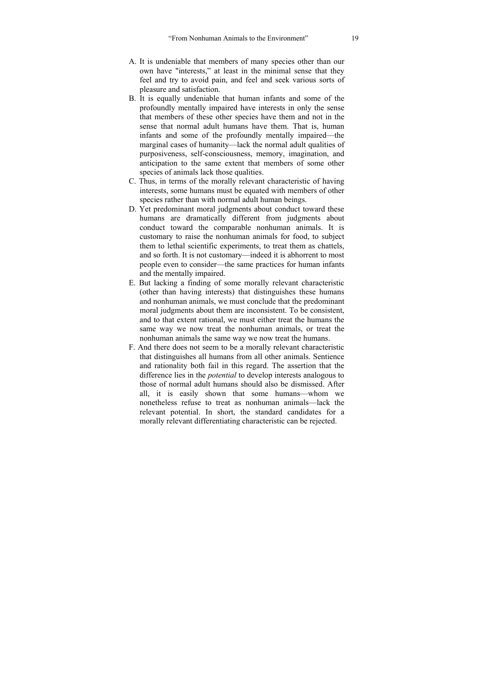- A. It is undeniable that members of many species other than our own have "interests," at least in the minimal sense that they feel and try to avoid pain, and feel and seek various sorts of pleasure and satisfaction.
- B. It is equally undeniable that human infants and some of the profoundly mentally impaired have interests in only the sense that members of these other species have them and not in the sense that normal adult humans have them. That is, human infants and some of the profoundly mentally impaired—the marginal cases of humanity—lack the normal adult qualities of purposiveness, self-consciousness, memory, imagination, and anticipation to the same extent that members of some other species of animals lack those qualities.
- C. Thus, in terms of the morally relevant characteristic of having interests, some humans must be equated with members of other species rather than with normal adult human beings.
- D. Yet predominant moral judgments about conduct toward these humans are dramatically different from judgments about conduct toward the comparable nonhuman animals. It is customary to raise the nonhuman animals for food, to subject them to lethal scientific experiments, to treat them as chattels, and so forth. It is not customary—indeed it is abhorrent to most people even to consider—the same practices for human infants and the mentally impaired.
- E. But lacking a finding of some morally relevant characteristic (other than having interests) that distinguishes these humans and nonhuman animals, we must conclude that the predominant moral judgments about them are inconsistent. To be consistent, and to that extent rational, we must either treat the humans the same way we now treat the nonhuman animals, or treat the nonhuman animals the same way we now treat the humans.
- F. And there does not seem to be a morally relevant characteristic that distinguishes all humans from all other animals. Sentience and rationality both fail in this regard. The assertion that the difference lies in the *potential* to develop interests analogous to those of normal adult humans should also be dismissed. After all, it is easily shown that some humans—whom we nonetheless refuse to treat as nonhuman animals—lack the relevant potential. In short, the standard candidates for a morally relevant differentiating characteristic can be rejected.